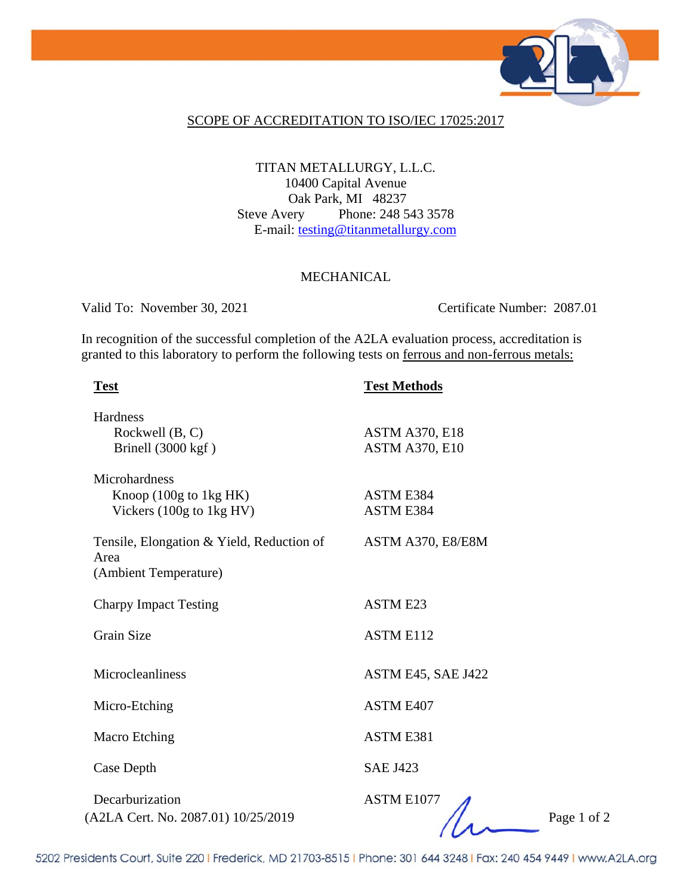

### SCOPE OF ACCREDITATION TO ISO/IEC 17025:2017

### TITAN METALLURGY, L.L.C. 10400 Capital Avenue Oak Park, MI 48237 Steve Avery Phone: 248 543 3578 E-mail: testing@titanmetallurgy.com

#### MECHANICAL

Valid To: November 30, 2021 Certificate Number: 2087.01

In recognition of the successful completion of the A2LA evaluation process, accreditation is granted to this laboratory to perform the following tests on ferrous and non-ferrous metals:

| <b>Test</b>                                                                           | <b>Test Methods</b>                            |
|---------------------------------------------------------------------------------------|------------------------------------------------|
| Hardness<br>Rockwell (B, C)<br>Brinell (3000 kgf)                                     | <b>ASTM A370, E18</b><br><b>ASTM A370, E10</b> |
| Microhardness<br>Knoop (100g to 1kg HK)<br>Vickers $(100g \text{ to } 1kg \text{HV})$ | ASTM E384<br>ASTM E384                         |
| Tensile, Elongation & Yield, Reduction of<br>Area<br>(Ambient Temperature)            | ASTM A370, E8/E8M                              |
| <b>Charpy Impact Testing</b>                                                          | <b>ASTM E23</b>                                |
| <b>Grain Size</b>                                                                     | <b>ASTM E112</b>                               |
| Microcleanliness                                                                      | ASTM E45, SAE J422                             |
| Micro-Etching                                                                         | ASTM E407                                      |
| <b>Macro Etching</b>                                                                  | ASTM E381                                      |
| Case Depth                                                                            | <b>SAE J423</b>                                |
| Decarburization<br>(A2LA Cert. No. 2087.01) 10/25/2019                                | ASTM E1077<br>Page 1 of 2                      |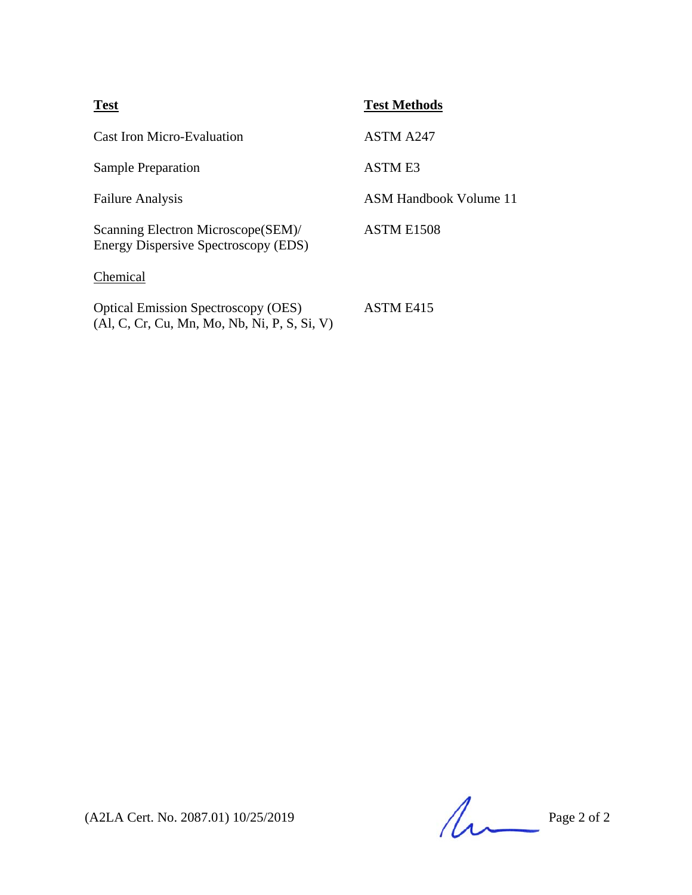| <b>Test</b>                                                                                  | <b>Test Methods</b>    |
|----------------------------------------------------------------------------------------------|------------------------|
| <b>Cast Iron Micro-Evaluation</b>                                                            | ASTM A247              |
| <b>Sample Preparation</b>                                                                    | ASTM E3                |
| <b>Failure Analysis</b>                                                                      | ASM Handbook Volume 11 |
| Scanning Electron Microscope (SEM)/<br>Energy Dispersive Spectroscopy (EDS)                  | ASTM E1508             |
| Chemical                                                                                     |                        |
| <b>Optical Emission Spectroscopy (OES)</b><br>$(Al, C, Cr, Cu, Mn, Mo, Nb, Ni, P, S, Si, V)$ | ASTM F415              |

(A2LA Cert. No. 2087.01) 10/25/2019 Page 2 of 2